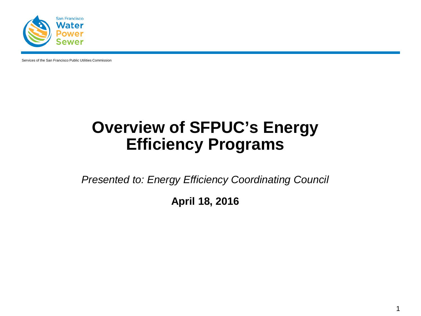

Services of the San Francisco Public Utilities Commission

## **Overview of SFPUC's Energy Efficiency Programs**

*Presented to: Energy Efficiency Coordinating Council*

**April 18, 2016**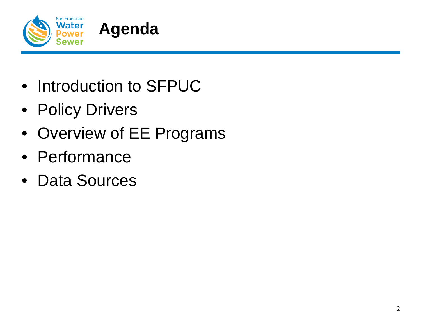

- Introduction to SFPUC
- Policy Drivers
- Overview of EE Programs
- Performance
- Data Sources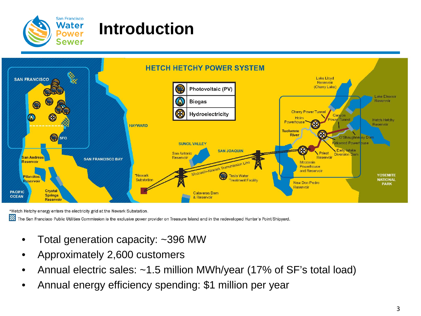

## **Introduction**



\*Hetch Hetchy energy enters the electricity grid at the Newark Substation.

▓ The San Francisco Public Utilities Commission is the exclusive power provider on Treasure Island and in the redeveloped Hunter's Point Shipyard.

- Total generation capacity: ~396 MW
- Approximately 2,600 customers
- Annual electric sales: ~1.5 million MWh/year (17% of SF's total load)
- Annual energy efficiency spending: \$1 million per year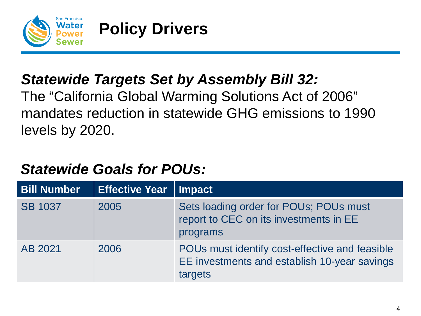

## **Policy Drivers**

#### *Statewide Targets Set by Assembly Bill 32:*

The "California Global Warming Solutions Act of 2006" mandates reduction in statewide GHG emissions to 1990 levels by 2020.

#### *Statewide Goals for POUs:*

| <b>Bill Number</b> | <b>Effective Year</b> | Impact                                                                                                    |
|--------------------|-----------------------|-----------------------------------------------------------------------------------------------------------|
| <b>SB 1037</b>     | 2005                  | Sets loading order for POUs; POUs must<br>report to CEC on its investments in EE<br>programs              |
| AB 2021            | 2006                  | POUs must identify cost-effective and feasible<br>EE investments and establish 10-year savings<br>targets |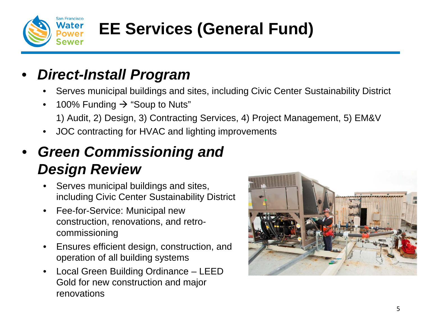

# **EE Services (General Fund)**

#### • *Direct-Install Program*

- Serves municipal buildings and sites, including Civic Center Sustainability District
- 100% Funding  $\rightarrow$  "Soup to Nuts" 1) Audit, 2) Design, 3) Contracting Services, 4) Project Management, 5) EM&V
- JOC contracting for HVAC and lighting improvements
- *Green Commissioning and Design Review*
	- Serves municipal buildings and sites, including Civic Center Sustainability District
	- Fee-for-Service: Municipal new construction, renovations, and retrocommissioning
	- Ensures efficient design, construction, and operation of all building systems
	- Local Green Building Ordinance LEED Gold for new construction and major renovations

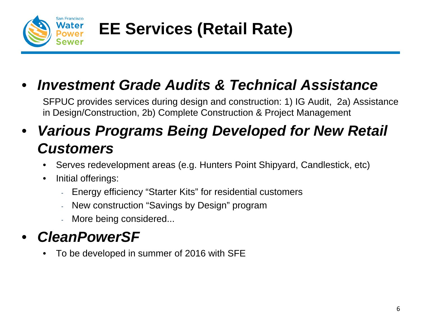

**EE Services (Retail Rate)**

## • *Investment Grade Audits & Technical Assistance*

SFPUC provides services during design and construction: 1) IG Audit, 2a) Assistance in Design/Construction, 2b) Complete Construction & Project Management

### • *Various Programs Being Developed for New Retail Customers*

- Serves redevelopment areas (e.g. Hunters Point Shipyard, Candlestick, etc)
- Initial offerings:
	- Energy efficiency "Starter Kits" for residential customers
	- New construction "Savings by Design" program
	- More being considered...

## • *CleanPowerSF*

• To be developed in summer of 2016 with SFE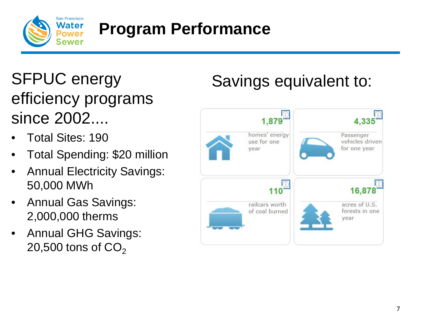

## **Program Performance**

SFPUC energy efficiency programs since 2002....

- Total Sites: 190
- Total Spending: \$20 million
- Annual Electricity Savings: 50,000 MWh
- Annual Gas Savings: 2,000,000 therms
- Annual GHG Savings: 20,500 tons of  $CO<sub>2</sub>$

# Savings equivalent to:

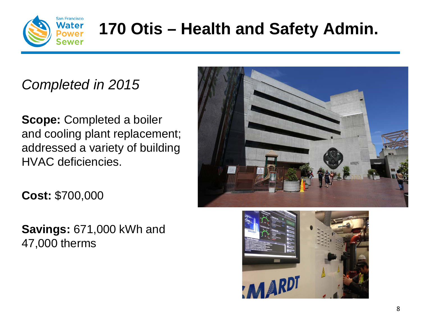

# **170 Otis – Health and Safety Admin.**

#### *Completed in 2015*

**Scope:** Completed a boiler and cooling plant replacement; addressed a variety of building HVAC deficiencies.

**Cost:** \$700,000

**Savings:** 671,000 kWh and 47,000 therms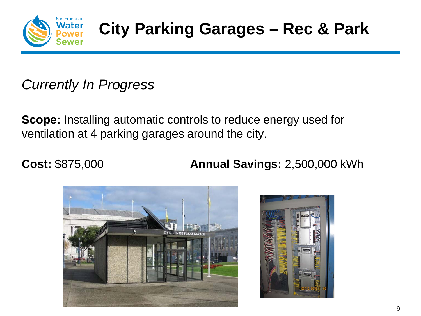

#### *Currently In Progress*

**Scope:** Installing automatic controls to reduce energy used for ventilation at 4 parking garages around the city.

**Cost:** \$875,000 **Annual Savings:** 2,500,000 kWh



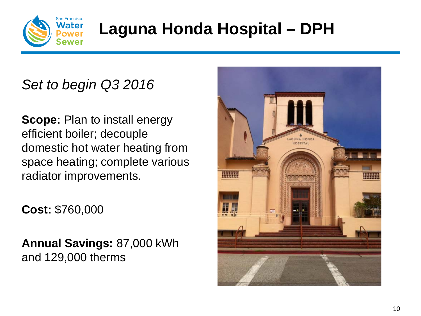

# **Laguna Honda Hospital – DPH**

#### *Set to begin Q3 2016*

**Scope: Plan to install energy** efficient boiler; decouple domestic hot water heating from space heating; complete various radiator improvements.

**Cost:** \$760,000

**Annual Savings:** 87,000 kWh and 129,000 therms